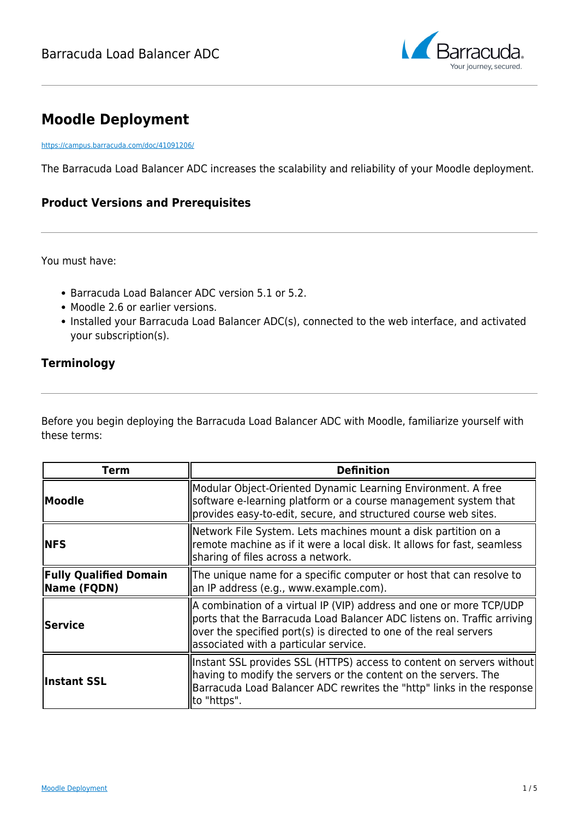

# **Moodle Deployment**

<https://campus.barracuda.com/doc/41091206/>

The Barracuda Load Balancer ADC increases the scalability and reliability of your Moodle deployment.

## **Product Versions and Prerequisites**

You must have:

- Barracuda Load Balancer ADC version 5.1 or 5.2.
- Moodle 2.6 or earlier versions.
- Installed your Barracuda Load Balancer ADC(s), connected to the web interface, and activated your subscription(s).

### **Terminology**

Before you begin deploying the Barracuda Load Balancer ADC with Moodle, familiarize yourself with these terms:

| Term                                         | <b>Definition</b>                                                                                                                                                                                                                                            |
|----------------------------------------------|--------------------------------------------------------------------------------------------------------------------------------------------------------------------------------------------------------------------------------------------------------------|
| Moodle                                       | Modular Object-Oriented Dynamic Learning Environment. A free<br>software e-learning platform or a course management system that<br>provides easy-to-edit, secure, and structured course web sites.                                                           |
| <b>NFS</b>                                   | Network File System. Lets machines mount a disk partition on a<br>remote machine as if it were a local disk. It allows for fast, seamless<br>sharing of files across a network.                                                                              |
| <b>Fully Qualified Domain</b><br>Name (FQDN) | The unique name for a specific computer or host that can resolve to<br>an IP address (e.g., www.example.com).                                                                                                                                                |
| <b>Service</b>                               | A combination of a virtual IP (VIP) address and one or more TCP/UDP<br>ports that the Barracuda Load Balancer ADC listens on. Traffic arriving<br>over the specified port(s) is directed to one of the real servers<br>associated with a particular service. |
| Instant SSL                                  | Instant SSL provides SSL (HTTPS) access to content on servers without<br>having to modify the servers or the content on the servers. The<br>Barracuda Load Balancer ADC rewrites the "http" links in the response<br>to "https".                             |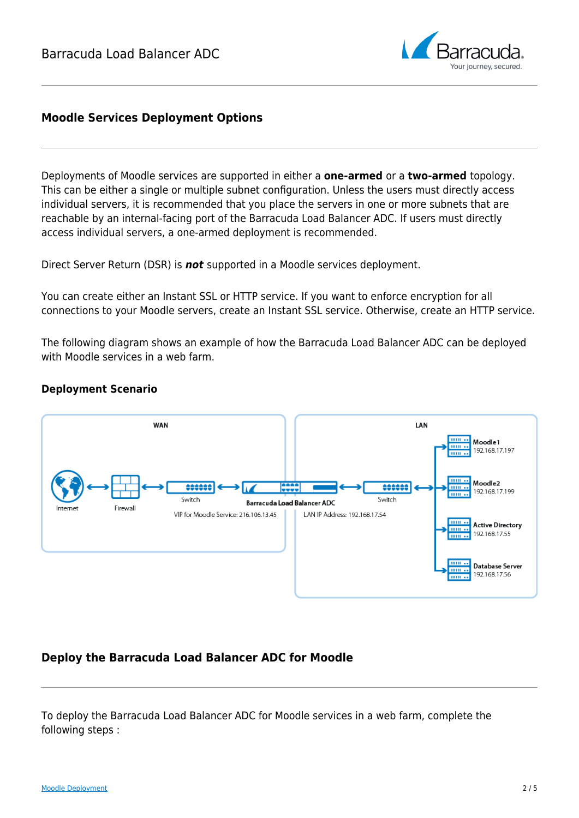

# **Moodle Services Deployment Options**

Deployments of Moodle services are supported in either a **one-armed** or a **two-armed** topology. This can be either a single or multiple subnet configuration. Unless the users must directly access individual servers, it is recommended that you place the servers in one or more subnets that are reachable by an internal-facing port of the Barracuda Load Balancer ADC. If users must directly access individual servers, a one-armed deployment is recommended.

Direct Server Return (DSR) is *not* supported in a Moodle services deployment.

You can create either an Instant SSL or HTTP service. If you want to enforce encryption for all connections to your Moodle servers, create an Instant SSL service. Otherwise, create an HTTP service.

The following diagram shows an example of how the Barracuda Load Balancer ADC can be deployed with Moodle services in a web farm.

### **Deployment Scenario**



# **Deploy the Barracuda Load Balancer ADC for Moodle**

To deploy the Barracuda Load Balancer ADC for Moodle services in a web farm, complete the following steps :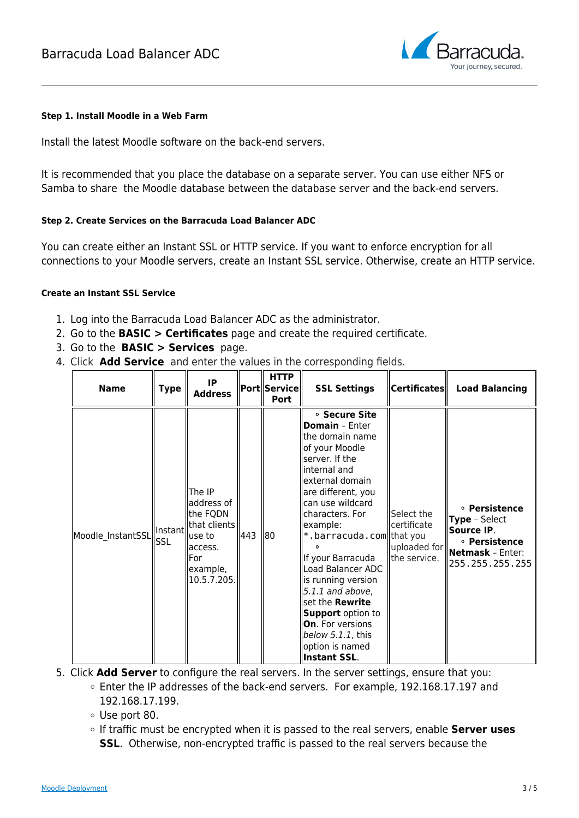

#### **Step 1. Install Moodle in a Web Farm**

Install the latest Moodle software on the back-end servers.

It is recommended that you place the database on a separate server. You can use either NFS or Samba to share the Moodle database between the database server and the back-end servers.

#### **Step 2. Create Services on the Barracuda Load Balancer ADC**

You can create either an Instant SSL or HTTP service. If you want to enforce encryption for all connections to your Moodle servers, create an Instant SSL service. Otherwise, create an HTTP service.

#### **Create an Instant SSL Service**

- 1. Log into the Barracuda Load Balancer ADC as the administrator.
- 2. Go to the **BASIC > Certificates** page and create the required certificate.
- 3. Go to the **BASIC > Services** page.
- 4. Click **Add Service** and enter the values in the corresponding fields.

| <b>Name</b>       | Type            | IP<br><b>Address</b>                                                                                       |     | <b>HTTP</b><br> Port  Service <br><b>Port</b> | <b>SSL Settings</b>                                                                                                                                                                                                                                                                                                                                                                                                                                                        | $ $ Certificates $\ $                                     | <b>Load Balancing</b>                                                                                              |
|-------------------|-----------------|------------------------------------------------------------------------------------------------------------|-----|-----------------------------------------------|----------------------------------------------------------------------------------------------------------------------------------------------------------------------------------------------------------------------------------------------------------------------------------------------------------------------------------------------------------------------------------------------------------------------------------------------------------------------------|-----------------------------------------------------------|--------------------------------------------------------------------------------------------------------------------|
| Moodle_InstantSSL | Instant<br>lssl | The IP<br>address of<br>the FQDN<br> that clients <br>luse to<br>access.<br>For<br>example,<br>10.5.7.205. | 443 | 80                                            | ∘ Secure Site<br><b>Domain</b> - Enter<br>the domain name<br>of your Moodle<br>server. If the<br>linternal and<br>external domain<br>are different, you<br>can use wildcard<br>characters. For<br>example:<br>*.barracuda.com that you<br>If your Barracuda<br>Load Balancer ADC<br>is running version<br>$ 5.1.1$ and above,<br>set the <b>Rewrite</b><br><b>Support</b> option to<br><b>On</b> . For versions<br>below $5.1.1$ , this<br>option is named<br>Instant SSL. | Select the<br>certificate<br>uploaded for<br>the service. | <b>• Persistence</b><br><b>Type</b> - Select<br>Source IP.<br>∘ Persistence<br>Netmask - Enter:<br>255.255.255.255 |

- 5. Click **Add Server** to configure the real servers. In the server settings, ensure that you:
	- Enter the IP addresses of the back-end servers. For example, 192.168.17.197 and 192.168.17.199.
	- Use port 80.
	- If traffic must be encrypted when it is passed to the real servers, enable **Server uses SSL**. Otherwise, non-encrypted traffic is passed to the real servers because the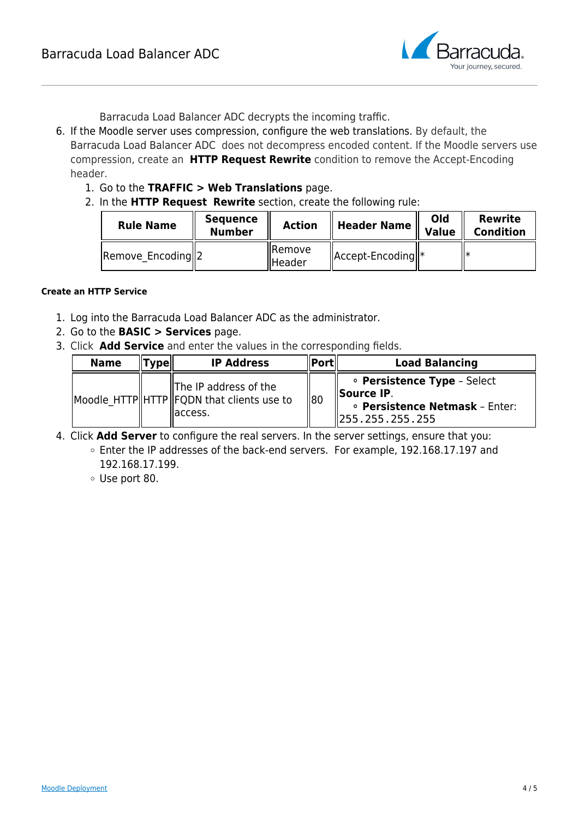

Barracuda Load Balancer ADC decrypts the incoming traffic.

- 6. If the Moodle server uses compression, configure the web translations. By default, the Barracuda Load Balancer ADC does not decompress encoded content. If the Moodle servers use compression, create an **HTTP Request Rewrite** condition to remove the Accept-Encoding header.
	- 1. Go to the **TRAFFIC > Web Translations** page.
	- 2. In the **HTTP Request Rewrite** section, create the following rule:

| <b>Rule Name</b>  | <b>Sequence</b><br><b>Number</b> | Action                   | <b>Header Name</b>                        | Old<br><b>Value</b> | <b>Rewrite</b><br><b>Condition</b> |
|-------------------|----------------------------------|--------------------------|-------------------------------------------|---------------------|------------------------------------|
| Remove Encoding 2 |                                  | Remove<br><b>IHeader</b> | $\parallel$ Accept-Encoding $\parallel^*$ |                     |                                    |

#### **Create an HTTP Service**

- 1. Log into the Barracuda Load Balancer ADC as the administrator.
- 2. Go to the **BASIC > Services** page.
- 3. Click **Add Service** and enter the values in the corresponding fields.

| <b>Name</b> | Typel. | <b>IP Address</b>                                                                     | Port | <b>Load Balancing</b>                                                                                                 |
|-------------|--------|---------------------------------------------------------------------------------------|------|-----------------------------------------------------------------------------------------------------------------------|
|             |        | <b>The IP address of the</b><br>Moodle HTTP HTTP FQDN that clients use to<br>laccess. | 1180 | • Persistence Type - Select<br><b>ISource IP.</b><br>· Persistence Netmask - Enter:<br>$\parallel$ 255, 255, 255, 255 |

- 4. Click **Add Server** to configure the real servers. In the server settings, ensure that you:
	- Enter the IP addresses of the back-end servers. For example, 192.168.17.197 and 192.168.17.199.
	- Use port 80.